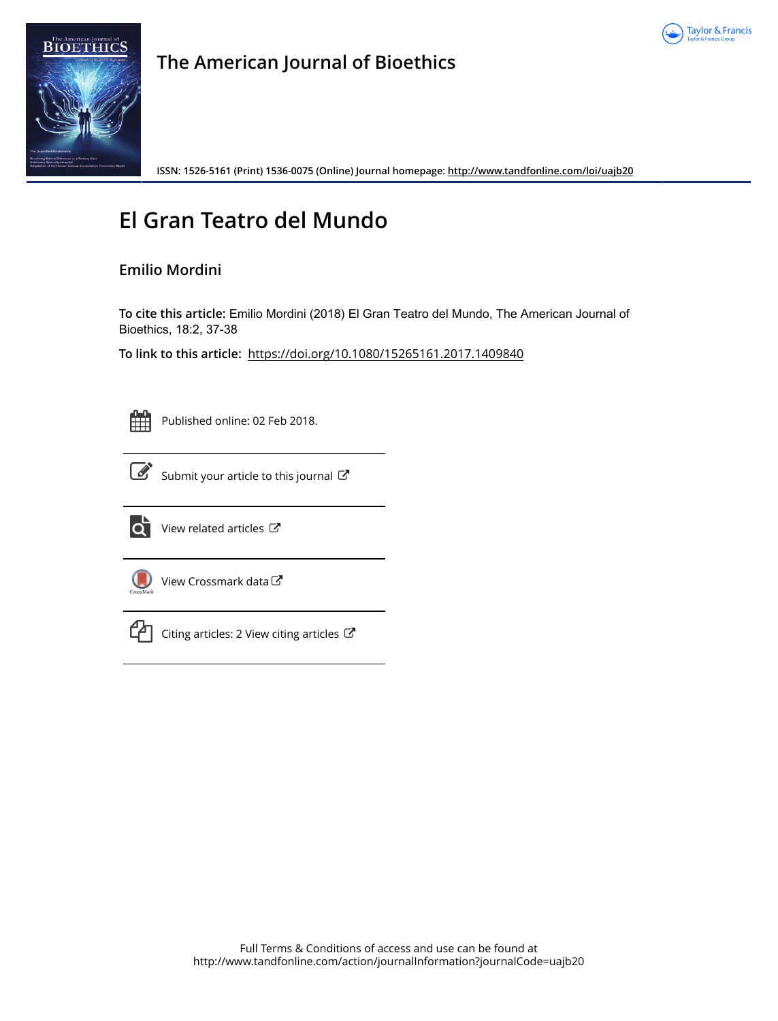



## **The American Journal of Bioethics**

**ISSN: 1526-5161 (Print) 1536-0075 (Online) Journal homepage:<http://www.tandfonline.com/loi/uajb20>**

## **El Gran Teatro del Mundo**

### **Emilio Mordini**

**To cite this article:** Emilio Mordini (2018) El Gran Teatro del Mundo, The American Journal of Bioethics, 18:2, 37-38

**To link to this article:** <https://doi.org/10.1080/15265161.2017.1409840>



Published online: 02 Feb 2018.



[Submit your article to this journal](http://www.tandfonline.com/action/authorSubmission?journalCode=uajb20&show=instructions)  $\mathbb{Z}$ 



 $\overrightarrow{Q}$  [View related articles](http://www.tandfonline.com/doi/mlt/10.1080/15265161.2017.1409840)  $\mathbb{C}^{\bullet}$ 



[View Crossmark data](http://crossmark.crossref.org/dialog/?doi=10.1080/15265161.2017.1409840&domain=pdf&date_stamp=2018-02-02)



 $\mathbb{C}$  [Citing articles: 2 View citing articles](http://www.tandfonline.com/doi/citedby/10.1080/15265161.2017.1409840#tabModule)  $\mathbb{C}$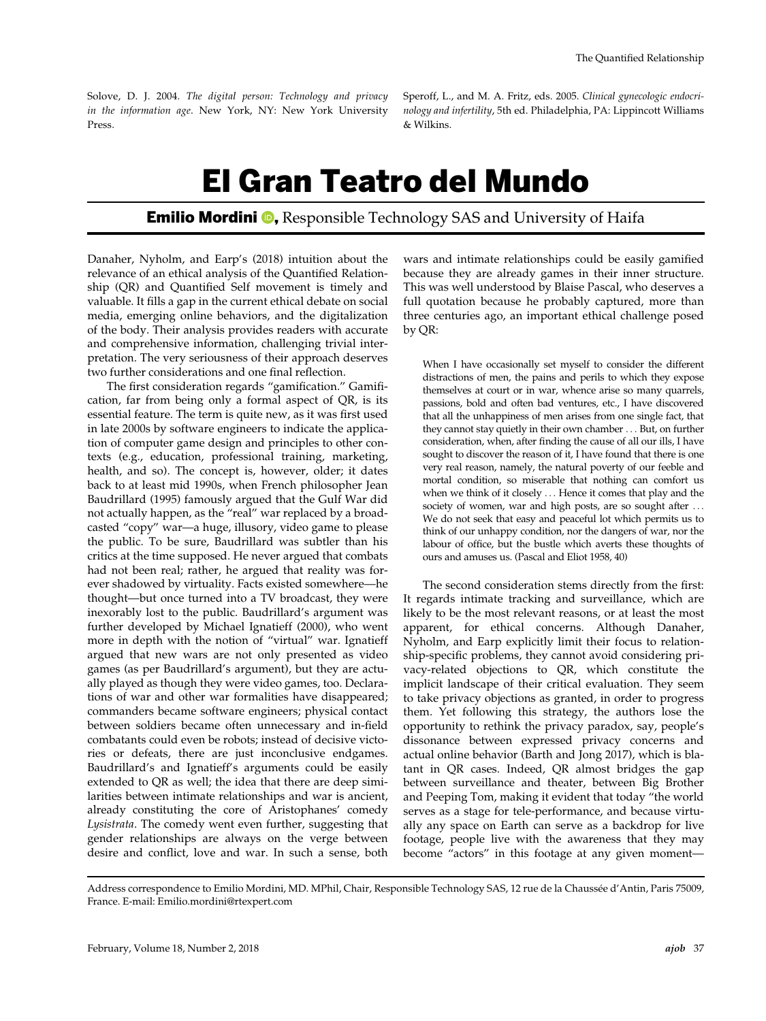Solove, D. J. 2004. The digital person: Technology and privacy in the information age. New York, NY: New York University Press.

Speroff, L., and M. A. Fritz, eds. 2005. Clinical gynecologic endocrinology and infertility, 5th ed. Philadelphia, PA: Lippincott Williams & Wilkins.

# El Gran Teatro del Mundo

### **Emilio Mordini <sup>®</sup>,** Responsible Technology SAS and University of Haifa

Danaher, Nyholm, and Earp's (2018) intuition about the relevance of an ethical analysis of the Quantified Relationship (QR) and Quantified Self movement is timely and valuable. It fills a gap in the current ethical debate on social media, emerging online behaviors, and the digitalization of the body. Their analysis provides readers with accurate and comprehensive information, challenging trivial interpretation. The very seriousness of their approach deserves two further considerations and one final reflection.

The first consideration regards "gamification." Gamification, far from being only a formal aspect of QR, is its essential feature. The term is quite new, as it was first used in late 2000s by software engineers to indicate the application of computer game design and principles to other contexts (e.g., education, professional training, marketing, health, and so). The concept is, however, older; it dates back to at least mid 1990s, when French philosopher Jean Baudrillard (1995) famously argued that the Gulf War did not actually happen, as the "real" war replaced by a broadcasted "copy" war—a huge, illusory, video game to please the public. To be sure, Baudrillard was subtler than his critics at the time supposed. He never argued that combats had not been real; rather, he argued that reality was forever shadowed by virtuality. Facts existed somewhere—he thought—but once turned into a TV broadcast, they were inexorably lost to the public. Baudrillard's argument was further developed by Michael Ignatieff (2000), who went more in depth with the notion of "virtual" war. Ignatieff argued that new wars are not only presented as video games (as per Baudrillard's argument), but they are actually played as though they were video games, too. Declarations of war and other war formalities have disappeared; commanders became software engineers; physical contact between soldiers became often unnecessary and in-field combatants could even be robots; instead of decisive victories or defeats, there are just inconclusive endgames. Baudrillard's and Ignatieff's arguments could be easily extended to QR as well; the idea that there are deep similarities between intimate relationships and war is ancient, already constituting the core of Aristophanes' comedy Lysistrata. The comedy went even further, suggesting that gender relationships are always on the verge between desire and conflict, love and war. In such a sense, both

wars and intimate relationships could be easily gamified because they are already games in their inner structure. This was well understood by Blaise Pascal, who deserves a full quotation because he probably captured, more than three centuries ago, an important ethical challenge posed by QR:

When I have occasionally set myself to consider the different distractions of men, the pains and perils to which they expose themselves at court or in war, whence arise so many quarrels, passions, bold and often bad ventures, etc., I have discovered that all the unhappiness of men arises from one single fact, that they cannot stay quietly in their own chamber ... But, on further consideration, when, after finding the cause of all our ills, I have sought to discover the reason of it, I have found that there is one very real reason, namely, the natural poverty of our feeble and mortal condition, so miserable that nothing can comfort us when we think of it closely ... Hence it comes that play and the society of women, war and high posts, are so sought after ... We do not seek that easy and peaceful lot which permits us to think of our unhappy condition, nor the dangers of war, nor the labour of office, but the bustle which averts these thoughts of ours and amuses us. (Pascal and Eliot 1958, 40)

The second consideration stems directly from the first: It regards intimate tracking and surveillance, which are likely to be the most relevant reasons, or at least the most apparent, for ethical concerns. Although Danaher, Nyholm, and Earp explicitly limit their focus to relationship-specific problems, they cannot avoid considering privacy-related objections to QR, which constitute the implicit landscape of their critical evaluation. They seem to take privacy objections as granted, in order to progress them. Yet following this strategy, the authors lose the opportunity to rethink the privacy paradox, say, people's dissonance between expressed privacy concerns and actual online behavior (Barth and  $\overline{J}$ ong 2017), which is blatant in QR cases. Indeed, QR almost bridges the gap between surveillance and theater, between Big Brother and Peeping Tom, making it evident that today "the world serves as a stage for tele-performance, and because virtually any space on Earth can serve as a backdrop for live footage, people live with the awareness that they may become "actors" in this footage at any given moment—

Address correspondence to Emilio Mordini, MD. MPhil, Chair, Responsible Technology SAS, 12 rue de la Chaussee d'Antin, Paris 75009, France. E-mail: Emilio.mordini@rtexpert.com